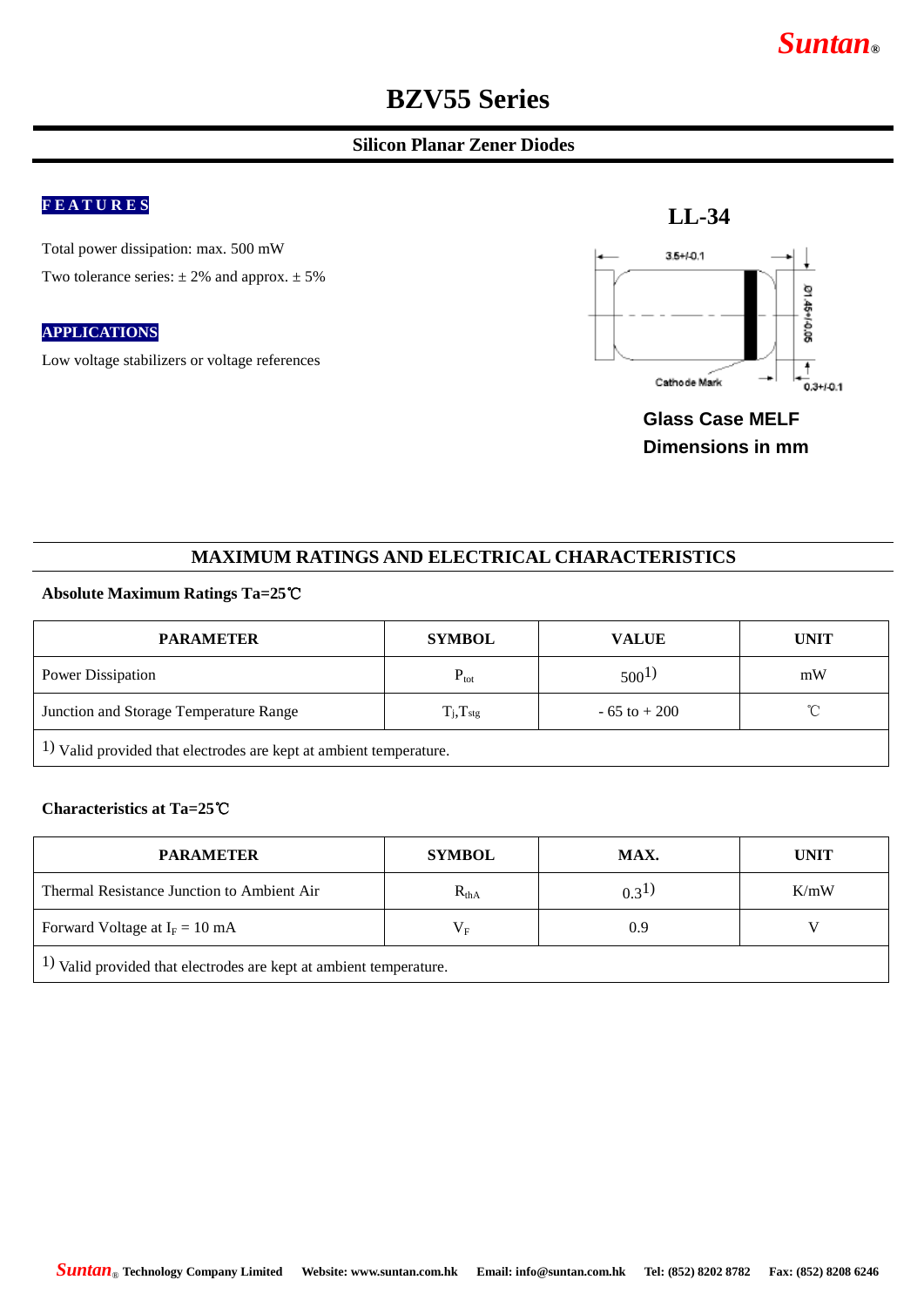## *Suntan***®**

# **BZV55 Series**

#### **Silicon Planar Zener Diodes**

## **F E A T U R E S**

Total power dissipation: max. 500 mW

Two tolerance series:  $\pm 2\%$  and approx.  $\pm 5\%$ 

#### **APPLICATIONS**

Low voltage stabilizers or voltage references



**Glass Case MELF Dimensions in mm**

#### **MAXIMUM RATINGS AND ELECTRICAL CHARACTERISTICS**

#### **Absolute Maximum Ratings Ta=25**℃

| <b>PARAMETER</b>                                                               | <b>SYMBOL</b>    | <b>VALUE</b>     | <b>UNIT</b> |  |  |  |  |
|--------------------------------------------------------------------------------|------------------|------------------|-------------|--|--|--|--|
| Power Dissipation                                                              | $P_{\text{tot}}$ | 500 <sup>1</sup> | mW          |  |  |  |  |
| Junction and Storage Temperature Range                                         | $T_j, T_{stg}$   | $-65$ to $+200$  | °C          |  |  |  |  |
| <sup>1</sup> ) Valid provided that electrodes are kept at ambient temperature. |                  |                  |             |  |  |  |  |

#### **Characteristics at Ta=25**℃

| <b>PARAMETER</b>                                                               | <b>SYMBOL</b><br>MAX.          |        | <b>UNIT</b> |
|--------------------------------------------------------------------------------|--------------------------------|--------|-------------|
| Thermal Resistance Junction to Ambient Air                                     | $\rm R_{thA}$                  | (0.31) | K/mW        |
| Forward Voltage at $I_F = 10$ mA                                               | $\rm V_{\scriptscriptstyle E}$ | 0.9    |             |
| <sup>1</sup> ) Valid provided that electrodes are kept at ambient temperature. |                                |        |             |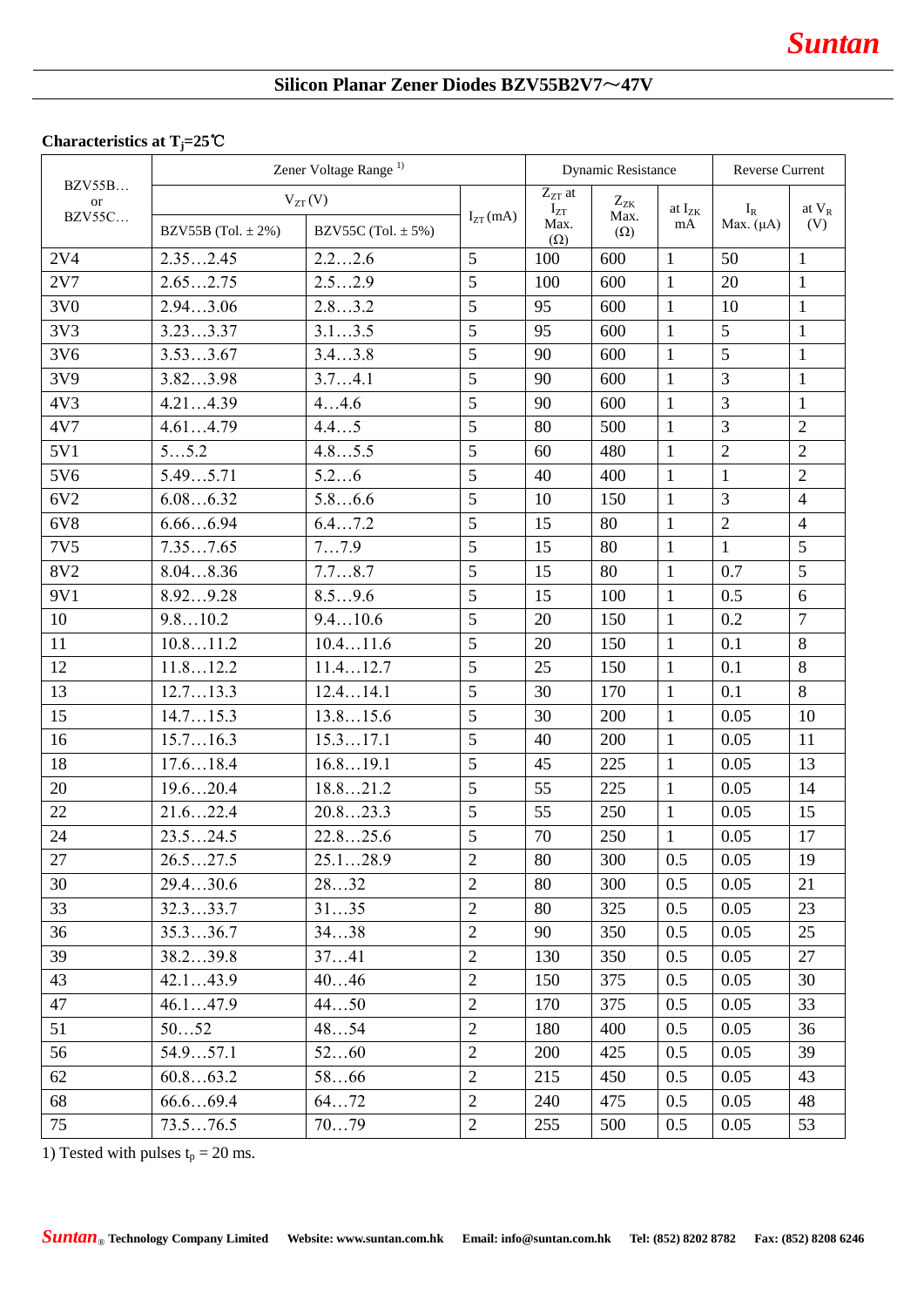### **Characteristics at Tj=25**℃

| <b>BZV55B</b><br>or<br>BZV55C | Zener Voltage Range <sup>1)</sup> |                        | <b>Dynamic Resistance</b> |                                |                    | <b>Reverse Current</b> |                         |                 |
|-------------------------------|-----------------------------------|------------------------|---------------------------|--------------------------------|--------------------|------------------------|-------------------------|-----------------|
|                               | $V_{ZT}(V)$                       |                        |                           | $Z_{ZT}$ at<br>$Z_{ZK}$        |                    |                        |                         |                 |
|                               | BZV55B (Tol. $\pm 2\%$ )          | BZV55C (Tol. $\pm$ 5%) | $I_{ZT}(mA)$              | $I_{ZT}$<br>Max.<br>$(\Omega)$ | Max.<br>$(\Omega)$ | at $I_{ZK}$<br>mA      | $I_R$<br>Max. $(\mu A)$ | at $V_R$<br>(V) |
| 2V4                           | 2.352.45                          | 2.22.6                 | 5                         | 100                            | 600                | $\mathbf{1}$           | 50                      | 1               |
| 2V7                           | 2.652.75                          | $2.52.\overline{9}$    | 5                         | 100                            | 600                | $\mathbf{1}$           | 20                      | $\mathbf{1}$    |
| 3V0                           | 2.943.06                          | 2.83.2                 | 5                         | 95                             | 600                | $\mathbf{1}$           | 10                      | $\mathbf{1}$    |
| 3V3                           | 3.233.37                          | 3.13.5                 | 5                         | 95                             | 600                | $\mathbf{1}$           | 5                       | $\mathbf{1}$    |
| 3V6                           | 3.533.67                          | 3.43.8                 | 5                         | 90                             | 600                | $\mathbf{1}$           | 5                       | $\mathbf{1}$    |
| 3V9                           | 3.823.98                          | 3.74.1                 | 5                         | 90                             | 600                | $\mathbf{1}$           | 3                       | $\mathbf{1}$    |
| 4V <sub>3</sub>               | 4.214.39                          | 44.6                   | 5                         | 90                             | 600                | $\mathbf{1}$           | 3                       | $\mathbf{1}$    |
| 4V7                           | 4.614.79                          | 4.45                   | 5                         | 80                             | 500                | $\mathbf{1}$           | 3                       | $\overline{2}$  |
| 5V1                           | 55.2                              | 4.85.5                 | 5                         | 60                             | 480                | $\mathbf{1}$           | $\sqrt{2}$              | $\overline{2}$  |
| 5V6                           | 5.495.71                          | 5.26                   | 5                         | 40                             | 400                | $\mathbf{1}$           | $\mathbf{1}$            | $\overline{2}$  |
| 6V2                           | 6.086.32                          | 5.86.6                 | 5                         | 10                             | 150                | $\mathbf{1}$           | 3                       | $\overline{4}$  |
| 6V8                           | 6.666.94                          | 6.47.2                 | 5                         | 15                             | 80                 | $\mathbf{1}$           | $\overline{2}$          | $\overline{4}$  |
| <b>7V5</b>                    | 7.357.65                          | 77.9                   | 5                         | 15                             | 80                 | $\mathbf{1}$           | $\mathbf{1}$            | 5               |
| 8V2                           | 8.048.36                          | 7.78.7                 | 5                         | 15                             | 80                 | $\mathbf{1}$           | 0.7                     | 5               |
| 9V1                           | 8.929.28                          | 8.59.6                 | 5                         | 15                             | 100                | $\mathbf{1}$           | 0.5                     | 6               |
| 10                            | 9.810.2                           | 9.410.6                | 5                         | 20                             | 150                | $\mathbf{1}$           | 0.2                     | $\overline{7}$  |
| 11                            | 10.811.2                          | 10.411.6               | 5                         | 20                             | 150                | $\mathbf{1}$           | 0.1                     | 8               |
| 12                            | 11.812.2                          | 11.412.7               | 5                         | 25                             | 150                | $\mathbf{1}$           | 0.1                     | 8               |
| 13                            | 12.713.3                          | 12.414.1               | 5                         | 30                             | 170                | $\mathbf{1}$           | 0.1                     | 8               |
| 15                            | 14.715.3                          | 13.815.6               | 5                         | 30                             | 200                | $\mathbf{1}$           | 0.05                    | 10              |
| 16                            | 15.716.3                          | 15.317.1               | 5                         | 40                             | 200                | $\mathbf{1}$           | 0.05                    | 11              |
| 18                            | 17.618.4                          | 16.819.1               | 5                         | 45                             | 225                | $\mathbf{1}$           | 0.05                    | 13              |
| 20                            | 19.620.4                          | 18.821.2               | 5                         | 55                             | 225                | $\mathbf{1}$           | 0.05                    | 14              |
| 22                            | 21.622.4                          | 20.823.3               | 5                         | 55                             | 250                | $\mathbf{1}$           | 0.05                    | 15              |
| 24                            | 23.524.5                          | 22.825.6               | $\sqrt{5}$                | 70                             | 250                | $\mathbf{1}$           | 0.05                    | 17              |
| 27                            | 26.527.5                          | 25.128.9               | $\mathbf{2}$              | 80                             | 300                | 0.5                    | 0.05                    | 19              |
| 30                            | 29.430.6                          | 2832                   | $\overline{2}$            | 80                             | 300                | 0.5                    | 0.05                    | 21              |
| 33                            | 32.333.7                          | 3135                   | $\mathbf{2}$              | 80                             | 325                | 0.5                    | 0.05                    | 23              |
| 36                            | 35.336.7                          | 3438                   | $\overline{2}$            | 90                             | 350                | 0.5                    | 0.05                    | 25              |
| 39                            | 38.239.8                          | 3741                   | $\mathfrak{2}$            | 130                            | 350                | 0.5                    | 0.05                    | 27              |
| 43                            | 42.143.9                          | 4046                   | $\overline{2}$            | 150                            | 375                | 0.5                    | 0.05                    | 30              |
| 47                            | 46.147.9                          | 4450                   | 2                         | 170                            | 375                | 0.5                    | 0.05                    | 33              |
| 51                            | 5052                              | 4854                   | $\overline{2}$            | 180                            | 400                | 0.5                    | 0.05                    | 36              |
| 56                            | 54.957.1                          | 5260                   | $\overline{2}$            | 200                            | 425                | 0.5                    | 0.05                    | 39              |
| 62                            | 60.863.2                          | 5866                   | $\mathfrak{2}$            | 215                            | 450                | 0.5                    | 0.05                    | 43              |
| 68                            | 66.669.4                          | 6472                   | $\overline{2}$            | 240                            | 475                | 0.5                    | 0.05                    | 48              |
| 75                            | 73.576.5                          | 7079                   | $\overline{2}$            | 255                            | 500                | 0.5                    | 0.05                    | 53              |

1) Tested with pulses  $t_p = 20$  ms.